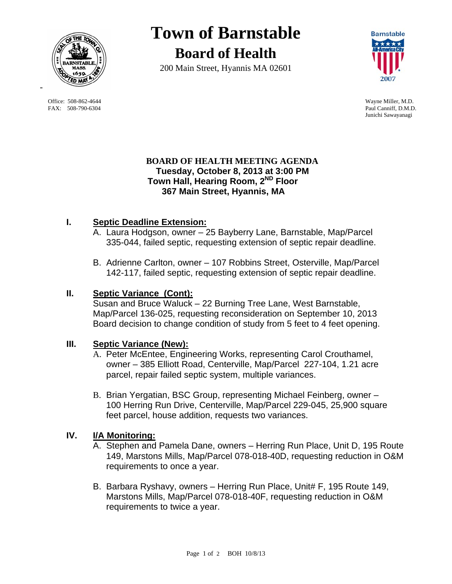

 Office: 508-862-4644 Wayne Miller, M.D. FAX: 508-790-6304 Paul Canniff, D.M.D.

# **Town of Barnstable Board of Health**

200 Main Street, Hyannis MA 02601



Junichi Sawayanagi

#### **BOARD OF HEALTH MEETING AGENDA Tuesday, October 8, 2013 at 3:00 PM Town Hall, Hearing Room, 2ND Floor 367 Main Street, Hyannis, MA**

# **I. Septic Deadline Extension:**

- A. Laura Hodgson, owner 25 Bayberry Lane, Barnstable, Map/Parcel 335-044, failed septic, requesting extension of septic repair deadline.
- B. Adrienne Carlton, owner 107 Robbins Street, Osterville, Map/Parcel 142-117, failed septic, requesting extension of septic repair deadline.

# **II. Septic Variance (Cont):**

Susan and Bruce Waluck – 22 Burning Tree Lane, West Barnstable, Map/Parcel 136-025, requesting reconsideration on September 10, 2013 Board decision to change condition of study from 5 feet to 4 feet opening.

# **III. Septic Variance (New):**

- A. Peter McEntee, Engineering Works, representing Carol Crouthamel, owner – 385 Elliott Road, Centerville, Map/Parcel 227-104, 1.21 acre parcel, repair failed septic system, multiple variances.
- B. Brian Yergatian, BSC Group, representing Michael Feinberg, owner 100 Herring Run Drive, Centerville, Map/Parcel 229-045, 25,900 square feet parcel, house addition, requests two variances.

# **IV. I/A Monitoring:**

- A. Stephen and Pamela Dane, owners Herring Run Place, Unit D, 195 Route 149, Marstons Mills, Map/Parcel 078-018-40D, requesting reduction in O&M requirements to once a year.
- B. Barbara Ryshavy, owners Herring Run Place, Unit# F, 195 Route 149, Marstons Mills, Map/Parcel 078-018-40F, requesting reduction in O&M requirements to twice a year.